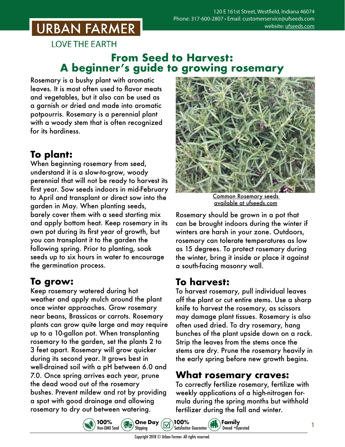## **URBAN FARMER**

**LOVE THE EARTH** 

#### **From Seed to Harvest: A beginner's guide to growing rosemary**

Rosemary is a bushy plant with aromatic leaves. It is most often used to flavor meats and vegetables, but it also can be used as a garnish or dried and made into aromatic potpourris. Rosemary is a perennial plant with a woody stem that is often recognized for its hardiness.

### **To plant:**

When beginning rosemary from seed, understand it is a slow-to-grow, woody perennial that will not be ready to harvest its first year. Sow seeds indoors in mid-February to April and transplant or direct sow into the garden in May. When planting seeds, barely cover them with a seed starting mix and apply bottom heat. Keep rosemary in its own pot during its first year of growth, but you can transplant it to the garden the following spring. Prior to planting, soak seeds up to six hours in water to encourage the germination process.

### **To grow:**

Keep rosemary watered during hot weather and apply mulch around the plant once winter approaches. Grow rosemary near beans, Brassicas or carrots. Rosemary plants can grow quite large and may require up to a 10-gallon pot. When transplanting rosemary to the garden, set the plants 2 to 3 feet apart. Rosemary will grow quicker during its second year. It grows best in well-drained soil with a pH between 6.0 and 7.0. Once spring arrives each year, prune the dead wood out of the rosemary bushes. Prevent mildew and rot by providing a spot with good drainage and allowing rosemary to dry out between watering.



Common Rosemary seeds [available at ufseeds.com](https://www.ufseeds.com/product-category/herbs/rosemary/)

Rosemary should be grown in a pot that can be brought indoors during the winter if winters are harsh in your zone. Outdoors, rosemary can tolerate temperatures as low as 15 degrees. To protect rosemary during the winter, bring it inside or place it against a south-facing masonry wall.

### **To harvest:**

To harvest rosemary, pull individual leaves off the plant or cut entire stems. Use a sharp knife to harvest the rosemary, as scissors may damage plant tissues. Rosemary is also often used dried. To dry rosemary, hang bunches of the plant upside down on a rack. Strip the leaves from the stems once the stems are dry. Prune the rosemary heavily in the early spring before new growth begins.

#### **What rosemary craves:**

To correctly fertilize rosemary, fertilize with weekly applications of a high-nitrogen formula during the spring months but withhold fertilizer during the fall and winter.





Copyright 2018 © Urban Farmer. All rights reserved.

100%

**Buy** One Day

Shipping

Family